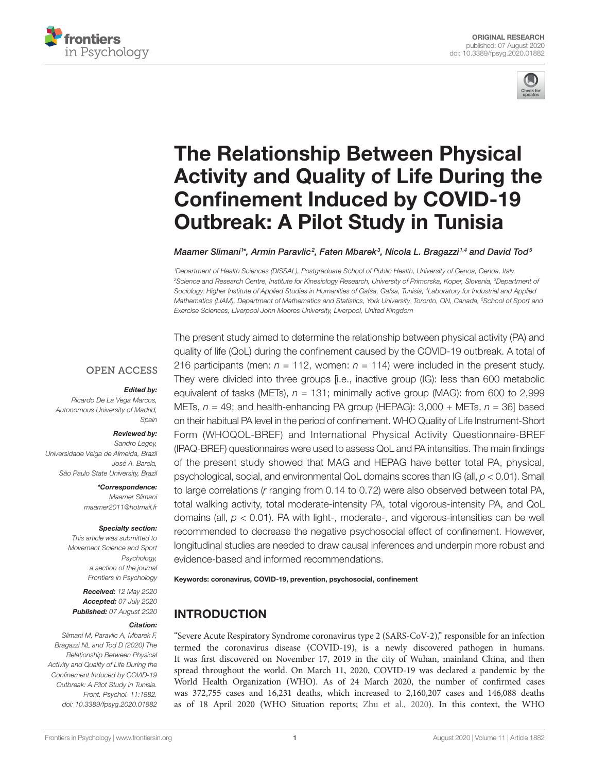



# [The Relationship Between Physical](https://www.frontiersin.org/articles/10.3389/fpsyg.2020.01882/full)  [Activity and Quality of Life During the](https://www.frontiersin.org/articles/10.3389/fpsyg.2020.01882/full)  [Confinement Induced by COVID-19](https://www.frontiersin.org/articles/10.3389/fpsyg.2020.01882/full)  [Outbreak: A Pilot Study in Tunisia](https://www.frontiersin.org/articles/10.3389/fpsyg.2020.01882/full)

 $M$ aamer Slimani $^{\text{1}*}$ , [Armin Paravlic](https://loop.frontiersin.org/people/562266/overview)<sup>2</sup>, Faten Mbarek $^{\text{3}}$ , [Nicola L. Bragazzi](https://loop.frontiersin.org/people/69944/overview) $^{\text{1,4}}$  and David Tod $^{\text{5}}$ 

*1 Department of Health Sciences (DISSAL), Postgraduate School of Public Health, University of Genoa, Genoa, Italy, 2 Science and Research Centre, Institute for Kinesiology Research, University of Primorska, Koper, Slovenia, 3 Department of Sociology, Higher Institute of Applied Studies in Humanities of Gafsa, Gafsa, Tunisia, 4 Laboratory for Industrial and Applied Mathematics (LIAM), Department of Mathematics and Statistics, York University, Toronto, ON, Canada, 5 School of Sport and Exercise Sciences, Liverpool John Moores University, Liverpool, United Kingdom*

## **OPEN ACCESS**

### *Edited by:*

*Ricardo De La Vega Marcos, Autonomous University of Madrid, Spain*

#### *Reviewed by:*

*Sandro Legey, Universidade Veiga de Almeida, Brazil José A. Barela, São Paulo State University, Brazil*

> *\*Correspondence: Maamer Slimani [maamer2011@hotmail.fr](mailto:maamer2011@hotmail.fr)*

#### *Specialty section:*

*This article was submitted to Movement Science and Sport Psychology, a section of the journal Frontiers in Psychology*

*Received: 12 May 2020 Accepted: 07 July 2020 Published: 07 August 2020*

#### *Citation:*

*Slimani M, Paravlic A, Mbarek F, Bragazzi NL and Tod D (2020) The Relationship Between Physical Activity and Quality of Life During the Confinement Induced by COVID-19 Outbreak: A Pilot Study in Tunisia. Front. Psychol. 11:1882. [doi: 10.3389/fpsyg.2020.01882](https://doi.org/10.3389/fpsyg.2020.01882)* The present study aimed to determine the relationship between physical activity (PA) and quality of life (QoL) during the confinement caused by the COVID-19 outbreak. A total of 216 participants (men:  $n = 112$ , women:  $n = 114$ ) were included in the present study. They were divided into three groups [i.e., inactive group (IG): less than 600 metabolic equivalent of tasks (METs), *n* = 131; minimally active group (MAG): from 600 to 2,999 METs, *n* = 49; and health-enhancing PA group (HEPAG): 3,000 + METs, *n* = 36] based on their habitual PA level in the period of confinement. WHO Quality of Life Instrument-Short Form (WHOQOL-BREF) and International Physical Activity Questionnaire-BREF (IPAQ-BREF) questionnaires were used to assess QoL and PA intensities. The main findings of the present study showed that MAG and HEPAG have better total PA, physical, psychological, social, and environmental QoL domains scores than IG (all, *p* < 0.01). Small to large correlations (*r* ranging from 0.14 to 0.72) were also observed between total PA, total walking activity, total moderate-intensity PA, total vigorous-intensity PA, and QoL domains (all, *p* < 0.01). PA with light-, moderate-, and vigorous-intensities can be well recommended to decrease the negative psychosocial effect of confinement. However, longitudinal studies are needed to draw causal inferences and underpin more robust and evidence-based and informed recommendations.

Keywords: coronavirus, COVID-19, prevention, psychosocial, confinement

# INTRODUCTION

"Severe Acute Respiratory Syndrome coronavirus type 2 (SARS-CoV-2)," responsible for an infection termed the coronavirus disease (COVID-19), is a newly discovered pathogen in humans. It was first discovered on November 17, 2019 in the city of Wuhan, mainland China, and then spread throughout the world. On March 11, 2020, COVID-19 was declared a pandemic by the World Health Organization (WHO). As of 24 March 2020, the number of confirmed cases was 372,755 cases and 16,231 deaths, which increased to 2,160,207 cases and 146,088 deaths as of 18 April 2020 (WHO Situation reports; [Zhu et al., 2020](#page-4-0)). In this context, the WHO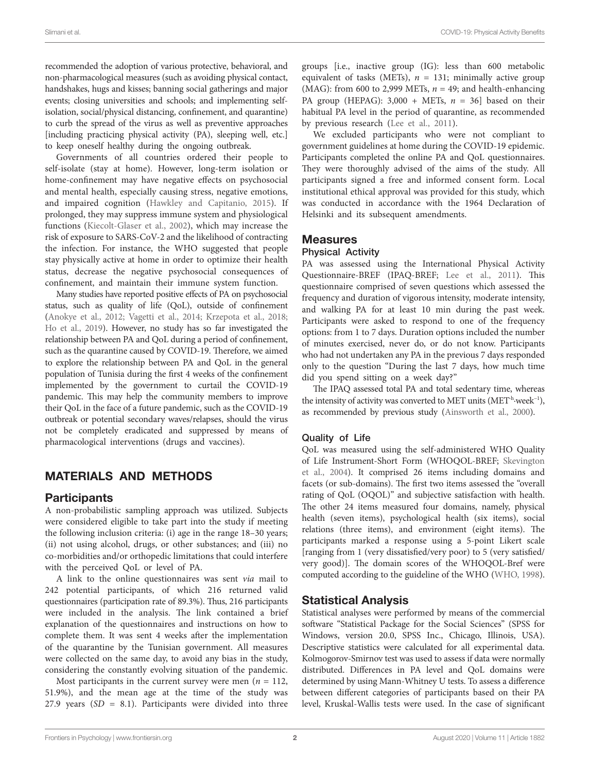recommended the adoption of various protective, behavioral, and non-pharmacological measures (such as avoiding physical contact, handshakes, hugs and kisses; banning social gatherings and major events; closing universities and schools; and implementing selfisolation, social/physical distancing, confinement, and quarantine) to curb the spread of the virus as well as preventive approaches [including practicing physical activity (PA), sleeping well, etc.] to keep oneself healthy during the ongoing outbreak.

Governments of all countries ordered their people to self-isolate (stay at home). However, long-term isolation or home-confinement may have negative effects on psychosocial and mental health, especially causing stress, negative emotions, and impaired cognition ([Hawkley and Capitanio, 2015](#page-4-1)). If prolonged, they may suppress immune system and physiological functions [\(Kiecolt-Glaser et al., 2002](#page-4-2)), which may increase the risk of exposure to SARS-CoV-2 and the likelihood of contracting the infection. For instance, the WHO suggested that people stay physically active at home in order to optimize their health status, decrease the negative psychosocial consequences of confinement, and maintain their immune system function.

Many studies have reported positive effects of PA on psychosocial status, such as quality of life (QoL), outside of confinement ([Anokye et al., 2012;](#page-4-3) [Vagetti et al., 2014](#page-4-4); [Krzepota et al., 2018](#page-4-5); [Ho et al., 2019\)](#page-4-6). However, no study has so far investigated the relationship between PA and QoL during a period of confinement, such as the quarantine caused by COVID-19. Therefore, we aimed to explore the relationship between PA and QoL in the general population of Tunisia during the first 4 weeks of the confinement implemented by the government to curtail the COVID-19 pandemic. This may help the community members to improve their QoL in the face of a future pandemic, such as the COVID-19 outbreak or potential secondary waves/relapses, should the virus not be completely eradicated and suppressed by means of pharmacological interventions (drugs and vaccines).

# MATERIALS AND METHODS

## **Participants**

A non-probabilistic sampling approach was utilized. Subjects were considered eligible to take part into the study if meeting the following inclusion criteria: (i) age in the range 18–30 years; (ii) not using alcohol, drugs, or other substances; and (iii) no co-morbidities and/or orthopedic limitations that could interfere with the perceived QoL or level of PA.

A link to the online questionnaires was sent *via* mail to 242 potential participants, of which 216 returned valid questionnaires (participation rate of 89.3%). Thus, 216 participants were included in the analysis. The link contained a brief explanation of the questionnaires and instructions on how to complete them. It was sent 4 weeks after the implementation of the quarantine by the Tunisian government. All measures were collected on the same day, to avoid any bias in the study, considering the constantly evolving situation of the pandemic.

Most participants in the current survey were men ( $n = 112$ , 51.9%), and the mean age at the time of the study was 27.9 years  $(SD = 8.1)$ . Participants were divided into three groups [i.e., inactive group (IG): less than 600 metabolic equivalent of tasks (METs),  $n = 131$ ; minimally active group (MAG): from 600 to 2,999 METs,  $n = 49$ ; and health-enhancing PA group (HEPAG):  $3,000 + \text{METs}, n = 36$  based on their habitual PA level in the period of quarantine, as recommended by previous research [\(Lee et al., 2011\)](#page-4-7).

We excluded participants who were not compliant to government guidelines at home during the COVID-19 epidemic. Participants completed the online PA and QoL questionnaires. They were thoroughly advised of the aims of the study. All participants signed a free and informed consent form. Local institutional ethical approval was provided for this study, which was conducted in accordance with the 1964 Declaration of Helsinki and its subsequent amendments.

## **Measures**

### Physical Activity

PA was assessed using the International Physical Activity Questionnaire-BREF (IPAQ-BREF; [Lee et al., 2011](#page-4-7)). This questionnaire comprised of seven questions which assessed the frequency and duration of vigorous intensity, moderate intensity, and walking PA for at least 10 min during the past week. Participants were asked to respond to one of the frequency options: from 1 to 7 days. Duration options included the number of minutes exercised, never do, or do not know. Participants who had not undertaken any PA in the previous 7 days responded only to the question "During the last 7 days, how much time did you spend sitting on a week day?"

The IPAQ assessed total PA and total sedentary time, whereas the intensity of activity was converted to MET units (MET-h·week−1), as recommended by previous study [\(Ainsworth et al., 2000\)](#page-4-8).

## Quality of Life

QoL was measured using the self-administered WHO Quality of Life Instrument-Short Form (WHOQOL-BREF; [Skevington](#page-4-9)  [et al., 2004\)](#page-4-9). It comprised 26 items including domains and facets (or sub-domains). The first two items assessed the "overall rating of QoL (OQOL)" and subjective satisfaction with health. The other 24 items measured four domains, namely, physical health (seven items), psychological health (six items), social relations (three items), and environment (eight items). The participants marked a response using a 5-point Likert scale [ranging from 1 (very dissatisfied/very poor) to 5 (very satisfied/ very good)]. The domain scores of the WHOQOL-Bref were computed according to the guideline of the WHO [\(WHO, 1998\)](#page-4-10).

## Statistical Analysis

Statistical analyses were performed by means of the commercial software "Statistical Package for the Social Sciences" (SPSS for Windows, version 20.0, SPSS Inc., Chicago, Illinois, USA). Descriptive statistics were calculated for all experimental data. Kolmogorov-Smirnov test was used to assess if data were normally distributed. Differences in PA level and QoL domains were determined by using Mann-Whitney U tests. To assess a difference between different categories of participants based on their PA level, Kruskal-Wallis tests were used. In the case of significant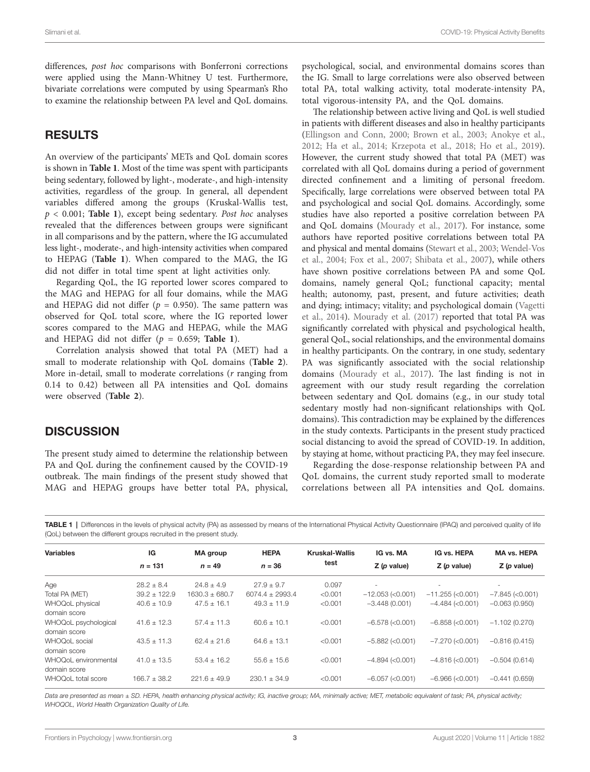differences, *post hoc* comparisons with Bonferroni corrections were applied using the Mann-Whitney U test. Furthermore, bivariate correlations were computed by using Spearman's Rho to examine the relationship between PA level and QoL domains.

## RESULTS

An overview of the participants' METs and QoL domain scores is shown in **[Table 1](#page-2-0)**. Most of the time was spent with participants being sedentary, followed by light-, moderate-, and high-intensity activities, regardless of the group. In general, all dependent variables differed among the groups (Kruskal-Wallis test, *p* < 0.001; **[Table 1](#page-2-0)**), except being sedentary. *Post hoc* analyses revealed that the differences between groups were significant in all comparisons and by the pattern, where the IG accumulated less light-, moderate-, and high-intensity activities when compared to HEPAG (**[Table 1](#page-2-0)**). When compared to the MAG, the IG did not differ in total time spent at light activities only.

Regarding QoL, the IG reported lower scores compared to the MAG and HEPAG for all four domains, while the MAG and HEPAG did not differ ( $p = 0.950$ ). The same pattern was observed for QoL total score, where the IG reported lower scores compared to the MAG and HEPAG, while the MAG and HEPAG did not differ  $(p = 0.659;$  Table 1).

Correlation analysis showed that total PA (MET) had a small to moderate relationship with QoL domains (**[Table 2](#page-3-0)**). More in-detail, small to moderate correlations (*r* ranging from 0.14 to 0.42) between all PA intensities and QoL domains were observed (**[Table 2](#page-3-0)**).

## **DISCUSSION**

The present study aimed to determine the relationship between PA and QoL during the confinement caused by the COVID-19 outbreak. The main findings of the present study showed that MAG and HEPAG groups have better total PA, physical, psychological, social, and environmental domains scores than the IG. Small to large correlations were also observed between total PA, total walking activity, total moderate-intensity PA, total vigorous-intensity PA, and the QoL domains.

The relationship between active living and QoL is well studied in patients with different diseases and also in healthy participants [\(Ellingson and Conn, 2000](#page-4-11); [Brown et al., 2003](#page-4-12); [Anokye et al.,](#page-4-3)  [2012;](#page-4-3) [Ha et al., 2014;](#page-4-13) [Krzepota et al., 2018](#page-4-5); [Ho et al., 2019](#page-4-6)). However, the current study showed that total PA (MET) was correlated with all QoL domains during a period of government directed confinement and a limiting of personal freedom. Specifically, large correlations were observed between total PA and psychological and social QoL domains. Accordingly, some studies have also reported a positive correlation between PA and QoL domains ([Mourady et al., 2017](#page-4-14)). For instance, some authors have reported positive correlations between total PA and physical and mental domains ([Stewart et al., 2003;](#page-4-15) [Wendel-Vos](#page-4-16)  [et al., 2004;](#page-4-16) [Fox et al., 2007](#page-4-17); [Shibata et al., 2007](#page-4-18)), while others have shown positive correlations between PA and some QoL domains, namely general QoL; functional capacity; mental health; autonomy, past, present, and future activities; death and dying; intimacy; vitality; and psychological domain [\(Vagetti](#page-4-4)  [et al., 2014\)](#page-4-4). [Mourady et al. \(2017\)](#page-4-14) reported that total PA was significantly correlated with physical and psychological health, general QoL, social relationships, and the environmental domains in healthy participants. On the contrary, in one study, sedentary PA was significantly associated with the social relationship domains ([Mourady et al., 2017](#page-4-14)). The last finding is not in agreement with our study result regarding the correlation between sedentary and QoL domains (e.g., in our study total sedentary mostly had non-significant relationships with QoL domains). This contradiction may be explained by the differences in the study contexts. Participants in the present study practiced social distancing to avoid the spread of COVID-19. In addition, by staying at home, without practicing PA, they may feel insecure.

Regarding the dose-response relationship between PA and QoL domains, the current study reported small to moderate correlations between all PA intensities and QoL domains.

<span id="page-2-0"></span>TABLE 1 | Differences in the levels of physical actvity (PA) as assessed by means of the International Physical Activity Questionnaire (IPAQ) and perceived quality of life (QoL) between the different groups recruited in the present study.

| Variables                            | ΙG<br>$n = 131$  | <b>MA</b> group<br>$n = 49$ | <b>HEPA</b><br>$n = 36$ | <b>Kruskal-Wallis</b><br>test | IG vs. MA              | IG vs. HEPA<br>$Z$ ( <i>p</i> value) | <b>MA vs. HEPA</b><br>$Z(p$ value) |
|--------------------------------------|------------------|-----------------------------|-------------------------|-------------------------------|------------------------|--------------------------------------|------------------------------------|
|                                      |                  |                             |                         |                               | $Z$ ( <i>p</i> value)  |                                      |                                    |
| Age                                  | $28.2 + 8.4$     | $24.8 + 4.9$                | $27.9 + 9.7$            | 0.097                         | ٠                      | ٠                                    |                                    |
| Total PA (MET)                       | $39.2 \pm 122.9$ | $1630.3 \pm 680.7$          | $6074.4 + 2993.4$       | < 0.001                       | $-12.053$ (<0.001)     | $-11.255$ (<0.001)                   | $-7.845$ ( $<$ 0.001)              |
| WHOQoL physical<br>domain score      | $40.6 + 10.9$    | $47.5 + 16.1$               | $49.3 + 11.9$           | < 0.001                       | $-3.448(0.001)$        | $-4.484$ (<0.001)                    | $-0.063(0.950)$                    |
| WHOQoL psychological<br>domain score | $41.6 \pm 12.3$  | $57.4 \pm 11.3$             | $60.6 + 10.1$           | < 0.001                       | $-6.578$ ( $<$ 0.001)  | $-6.858$ ( $<$ 0.001)                | $-1.102(0.270)$                    |
| WHOOoL social<br>domain score        | $43.5 + 11.3$    | $62.4 + 21.6$               | $64.6 \pm 13.1$         | < 0.001                       | $-5.882$ (<0.001)      | $-7.270$ ( $<$ 0.001)                | $-0.816(0.415)$                    |
| WHOOoL environmental<br>domain score | $41.0 + 13.5$    | $53.4 + 16.2$               | $55.6 + 15.6$           | < 0.001                       | $-4.894$ ( $< 0.001$ ) | $-4.816$ ( $<$ 0.001)                | $-0.504(0.614)$                    |
| WHOQoL total score                   | $166.7 + 38.2$   | $221.6 + 49.9$              | $230.1 \pm 34.9$        | < 0.001                       | $-6.057$ ( $<$ 0.001)  | $-6.966$ (<0.001)                    | $-0.441(0.659)$                    |

Data are presented as mean ± SD. HEPA, health enhancing physical activity; IG, inactive group; MA, minimally active; MET, metabolic equivalent of task; PA, physical activity; *WHOQOL, World Health Organization Quality of Life.*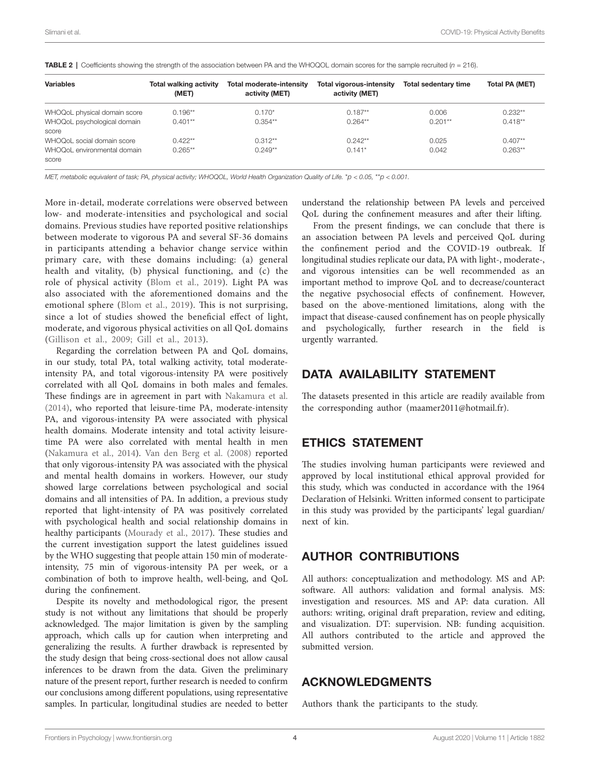| <b>Variables</b>                     | <b>Total walking activity</b><br>(MET) | Total moderate-intensitv<br>activity (MET) | Total vigorous-intensity<br>activity (MET) | <b>Total sedentary time</b> | Total PA (MET) |
|--------------------------------------|----------------------------------------|--------------------------------------------|--------------------------------------------|-----------------------------|----------------|
| WHOQoL physical domain score         | $0.196**$                              | $0.170*$                                   | $0.187**$                                  | 0.006                       | $0.232**$      |
| WHOQoL psychological domain          | $0.401***$                             | $0.354**$                                  | $0.264**$                                  | $0.201**$                   | $0.418**$      |
| score                                |                                        |                                            |                                            |                             |                |
| WHOQoL social domain score           | $0.422**$                              | $0.312**$                                  | $0.242**$                                  | 0.025                       | $0.407**$      |
| WHOQoL environmental domain<br>score | $0.265**$                              | $0.249**$                                  | $0.141*$                                   | 0.042                       | $0.263**$      |

<span id="page-3-0"></span>TABLE 2 | Coefficients showing the strength of the association between PA and the WHOQOL domain scores for the sample recruited (*n* = 216).

*MET, metabolic equivalent of task; PA, physical activity; WHOQOL, World Health Organization Quality of Life.* \**p < 0.05,* \*\**p < 0.001.*

More in-detail, moderate correlations were observed between low- and moderate-intensities and psychological and social domains. Previous studies have reported positive relationships between moderate to vigorous PA and several SF-36 domains in participants attending a behavior change service within primary care, with these domains including: (a) general health and vitality, (b) physical functioning, and (c) the role of physical activity ([Blom et al., 2019](#page-4-19)). Light PA was also associated with the aforementioned domains and the emotional sphere (Blom et al., 2019). This is not surprising, since a lot of studies showed the beneficial effect of light, moderate, and vigorous physical activities on all QoL domains ([Gillison et al., 2009;](#page-4-20) [Gill et al., 2013](#page-4-21)).

Regarding the correlation between PA and QoL domains, in our study, total PA, total walking activity, total moderateintensity PA, and total vigorous-intensity PA were positively correlated with all QoL domains in both males and females. These findings are in agreement in part with [Nakamura et al.](#page-4-22)  [\(2014\)](#page-4-22), who reported that leisure-time PA, moderate-intensity PA, and vigorous-intensity PA were associated with physical health domains. Moderate intensity and total activity leisuretime PA were also correlated with mental health in men ([Nakamura et al., 2014\)](#page-4-22). [Van den Berg et al. \(2008\)](#page-4-23) reported that only vigorous-intensity PA was associated with the physical and mental health domains in workers. However, our study showed large correlations between psychological and social domains and all intensities of PA. In addition, a previous study reported that light-intensity of PA was positively correlated with psychological health and social relationship domains in healthy participants [\(Mourady et al., 2017](#page-4-14)). These studies and the current investigation support the latest guidelines issued by the WHO suggesting that people attain 150 min of moderateintensity, 75 min of vigorous-intensity PA per week, or a combination of both to improve health, well-being, and QoL during the confinement.

Despite its novelty and methodological rigor, the present study is not without any limitations that should be properly acknowledged. The major limitation is given by the sampling approach, which calls up for caution when interpreting and generalizing the results. A further drawback is represented by the study design that being cross-sectional does not allow causal inferences to be drawn from the data. Given the preliminary nature of the present report, further research is needed to confirm our conclusions among different populations, using representative samples. In particular, longitudinal studies are needed to better understand the relationship between PA levels and perceived QoL during the confinement measures and after their lifting.

From the present findings, we can conclude that there is an association between PA levels and perceived QoL during the confinement period and the COVID-19 outbreak. If longitudinal studies replicate our data, PA with light-, moderate-, and vigorous intensities can be well recommended as an important method to improve QoL and to decrease/counteract the negative psychosocial effects of confinement. However, based on the above-mentioned limitations, along with the impact that disease-caused confinement has on people physically and psychologically, further research in the field is urgently warranted.

## DATA AVAILABILITY STATEMENT

The datasets presented in this article are readily available from the corresponding author [\(maamer2011@hotmail.fr](mailto:maamer2011@hotmail.fr)).

# ETHICS STATEMENT

The studies involving human participants were reviewed and approved by local institutional ethical approval provided for this study, which was conducted in accordance with the 1964 Declaration of Helsinki. Written informed consent to participate in this study was provided by the participants' legal guardian/ next of kin.

## AUTHOR CONTRIBUTIONS

All authors: conceptualization and methodology. MS and AP: software. All authors: validation and formal analysis. MS: investigation and resources. MS and AP: data curation. All authors: writing, original draft preparation, review and editing, and visualization. DT: supervision. NB: funding acquisition. All authors contributed to the article and approved the submitted version.

## ACKNOWLEDGMENTS

Authors thank the participants to the study.